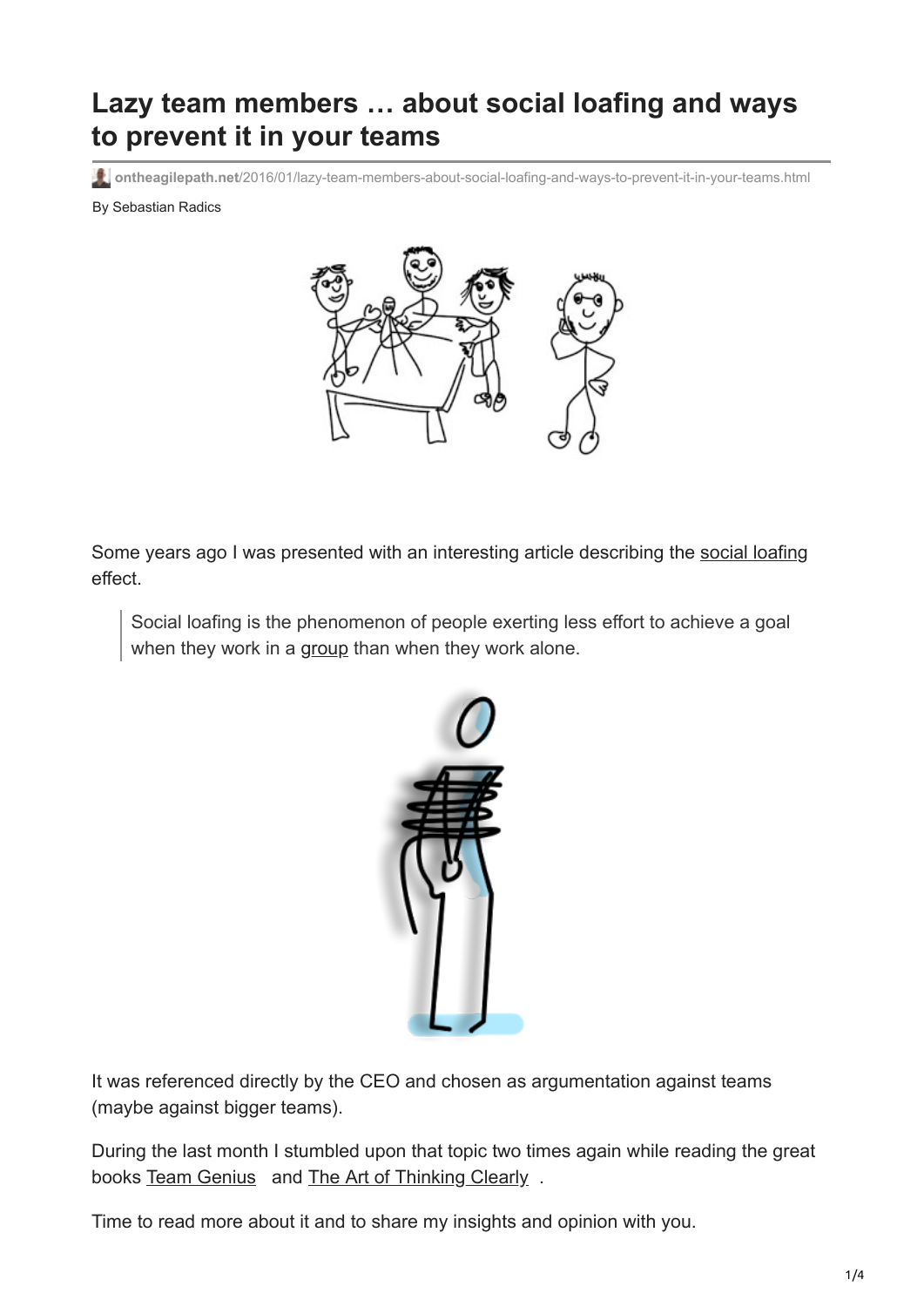# **Lazy team members … about social loafing and ways to prevent it in your teams**

**ontheagilepath.net**[/2016/01/lazy-team-members-about-social-loafing-and-ways-to-prevent-it-in-your-teams.html](https://www.ontheagilepath.net/2016/01/lazy-team-members-about-social-loafing-and-ways-to-prevent-it-in-your-teams.html)

By Sebastian Radics



Some years ago I was presented with an interesting article describing the [social loafing](https://en.wikipedia.org/wiki/Social_loafing) effect.

Social loafing is the phenomenon of people exerting less effort to achieve a goal when they work in a [group](https://en.wikipedia.org/wiki/Group_(sociology)) than when they work alone.



It was referenced directly by the CEO and chosen as argumentation against teams (maybe against bigger teams).

During the last month I stumbled upon that topic two times again while reading the great books [Team Genius](http://www.amazon.de/gp/product/006230254X/ref=as_li_tl?ie=UTF8&camp=1638&creative=19454&creativeASIN=006230254X&linkCode=as2&tag=httpwwwradics-21) and [The Art of Thinking Clearly](http://www.amazon.de/gp/product/0062343963/ref=as_li_tl?ie=UTF8&camp=1638&creative=19454&creativeASIN=0062343963&linkCode=as2&tag=httpwwwradics-21).

Time to read more about it and to share my insights and opinion with you.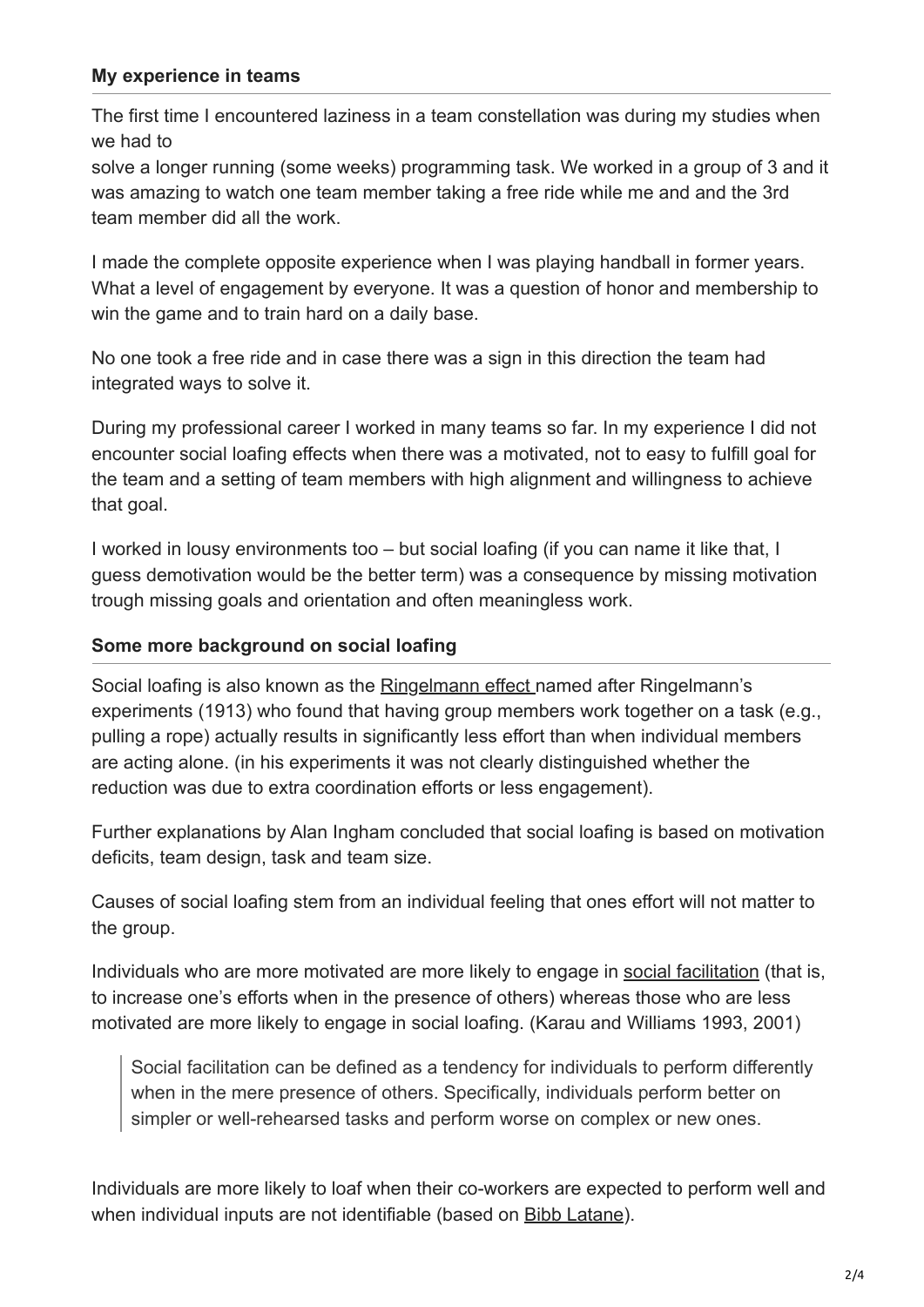#### **My experience in teams**

The first time I encountered laziness in a team constellation was during my studies when we had to

solve a longer running (some weeks) programming task. We worked in a group of 3 and it was amazing to watch one team member taking a free ride while me and and the 3rd team member did all the work.

I made the complete opposite experience when I was playing handball in former years. What a level of engagement by everyone. It was a question of honor and membership to win the game and to train hard on a daily base.

No one took a free ride and in case there was a sign in this direction the team had integrated ways to solve it.

During my professional career I worked in many teams so far. In my experience I did not encounter social loafing effects when there was a motivated, not to easy to fulfill goal for the team and a setting of team members with high alignment and willingness to achieve that goal.

I worked in lousy environments too – but social loafing (if you can name it like that, I guess demotivation would be the better term) was a consequence by missing motivation trough missing goals and orientation and often meaningless work.

#### **Some more background on social loafing**

Social loafing is also known as the [Ringelmann effect](https://en.wikipedia.org/wiki/Ringelmann_effect) named after Ringelmann's experiments (1913) who found that having group members work together on a task (e.g., pulling a rope) actually results in significantly less effort than when individual members are acting alone. (in his experiments it was not clearly distinguished whether the reduction was due to extra coordination efforts or less engagement).

Further explanations by Alan Ingham concluded that social loafing is based on motivation deficits, team design, task and team size.

Causes of social loafing stem from an individual feeling that ones effort will not matter to the group.

Individuals who are more motivated are more likely to engage in [social facilitation](https://en.wikipedia.org/wiki/Social_facilitation) (that is, to increase one's efforts when in the presence of others) whereas those who are less motivated are more likely to engage in social loafing. (Karau and Williams 1993, 2001)

Social facilitation can be defined as a tendency for individuals to perform differently when in the mere presence of others. Specifically, individuals perform better on simpler or well-rehearsed tasks and perform worse on complex or new ones.

Individuals are more likely to loaf when their co-workers are expected to perform well and when individual inputs are not identifiable (based on [Bibb Latane](https://en.wikipedia.org/wiki/Bibb_Latan%C3%A9)).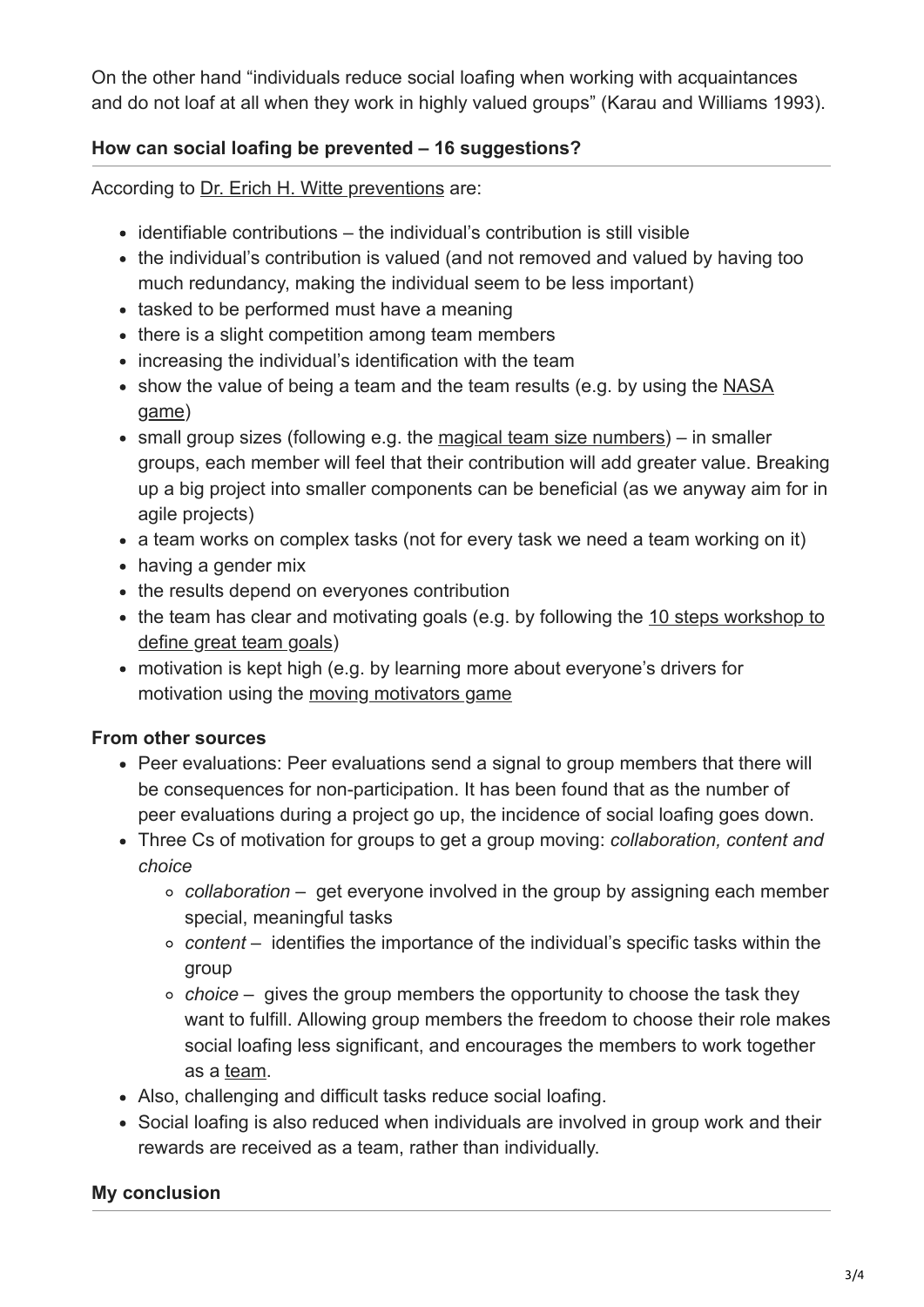On the other hand "individuals reduce social loafing when working with acquaintances and do not loaf at all when they work in highly valued groups" (Karau and Williams 1993).

### **How can social loafing be prevented – 16 suggestions?**

According to [Dr. Erich H. Witte preventions](http://www.management-coaching.org/sites/default/files/vortrag_social_loafing.pdf) are:

- $\bullet$  identifiable contributions the individual's contribution is still visible
- the individual's contribution is valued (and not removed and valued by having too much redundancy, making the individual seem to be less important)
- tasked to be performed must have a meaning
- there is a slight competition among team members
- increasing the individual's identification with the team
- [show the value of being a team and the team results \(e.g. by using the NASA](http://insight.typepad.co.uk/insight/2009/02/moon-landing-a-team-building-game.html) game)
- small group sizes (following e.g. the [magical team size numbers](http://www.ontheagilepath.net/?p=14)) in smaller groups, each member will feel that their contribution will add greater value. Breaking up a big project into smaller components can be beneficial (as we anyway aim for in agile projects)
- a team works on complex tasks (not for every task we need a team working on it)
- having a gender mix
- the results depend on everyones contribution
- [the team has clear and motivating goals \(e.g. by following the 10 steps workshop to](http://www.ontheagilepath.net/?p=13) define great team goals)
- motivation is kept high (e.g. by learning more about everyone's drivers for motivation using the [moving motivators game](http://www.ontheagilepath.net/?p=89)

### **From other sources**

- Peer evaluations: Peer evaluations send a signal to group members that there will be consequences for non-participation. It has been found that as the number of peer evaluations during a project go up, the incidence of social loafing goes down.
- Three Cs of motivation for groups to get a group moving: *collaboration, content and choice*
	- *collaboration* get everyone involved in the group by assigning each member special, meaningful tasks
	- *content* identifies the importance of the individual's specific tasks within the group
	- *choice* gives the group members the opportunity to choose the task they want to fulfill. Allowing group members the freedom to choose their role makes social loafing less significant, and encourages the members to work together as a [team.](https://en.wikipedia.org/wiki/Team)
- Also, challenging and difficult tasks reduce social loafing.
- Social loafing is also reduced when individuals are involved in group work and their rewards are received as a team, rather than individually.

## **My conclusion**